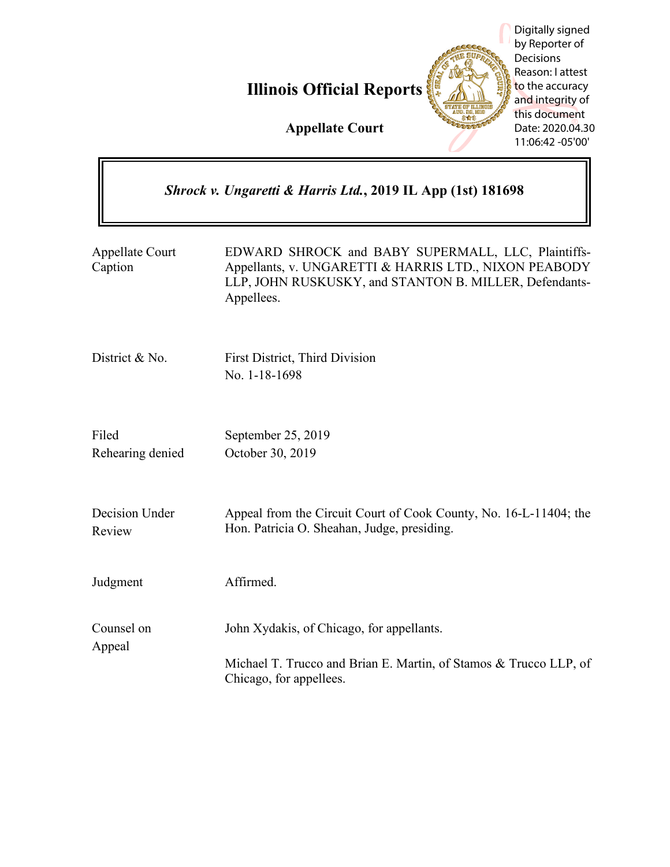**Illinois Official Reports**

**Appellate Court**

|                            | Shrock v. Ungaretti & Harris Ltd., 2019 IL App (1st) 181698                                                                                                                         |
|----------------------------|-------------------------------------------------------------------------------------------------------------------------------------------------------------------------------------|
| Appellate Court<br>Caption | EDWARD SHROCK and BABY SUPERMALL, LLC, Plaintiffs-<br>Appellants, v. UNGARETTI & HARRIS LTD., NIXON PEABODY<br>LLP, JOHN RUSKUSKY, and STANTON B. MILLER, Defendants-<br>Appellees. |
| District & No.             | First District, Third Division<br>No. 1-18-1698                                                                                                                                     |
| Filed<br>Rehearing denied  | September 25, 2019<br>October 30, 2019                                                                                                                                              |
| Decision Under<br>Review   | Appeal from the Circuit Court of Cook County, No. 16-L-11404; the<br>Hon. Patricia O. Sheahan, Judge, presiding.                                                                    |
| Judgment                   | Affirmed.                                                                                                                                                                           |
| Counsel on<br>Appeal       | John Xydakis, of Chicago, for appellants.<br>Michael T. Trucco and Brian E. Martin, of Stamos & Trucco LLP, of<br>Chicago, for appellees.                                           |

Digitally signed by Reporter of Decisions Reason: I attest to the accuracy and integrity of this document Date: 2020.04.30 11:06:42 -05'00'

**HE SUP**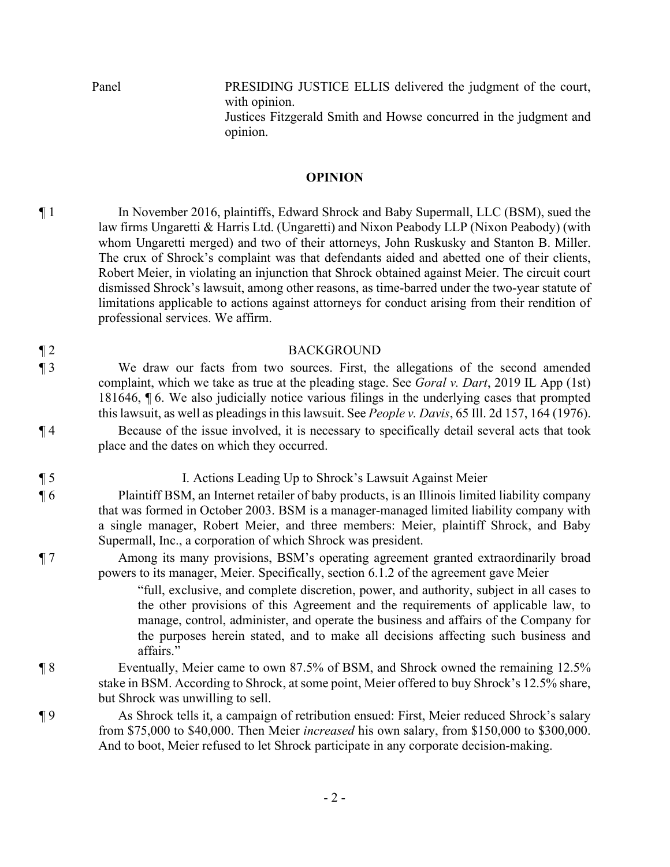Panel PRESIDING JUSTICE ELLIS delivered the judgment of the court, with opinion. Justices Fitzgerald Smith and Howse concurred in the judgment and opinion.

### **OPINION**

¶ 1 In November 2016, plaintiffs, Edward Shrock and Baby Supermall, LLC (BSM), sued the law firms Ungaretti & Harris Ltd. (Ungaretti) and Nixon Peabody LLP (Nixon Peabody) (with whom Ungaretti merged) and two of their attorneys, John Ruskusky and Stanton B. Miller. The crux of Shrock's complaint was that defendants aided and abetted one of their clients, Robert Meier, in violating an injunction that Shrock obtained against Meier. The circuit court dismissed Shrock's lawsuit, among other reasons, as time-barred under the two-year statute of limitations applicable to actions against attorneys for conduct arising from their rendition of professional services. We affirm.

#### ¶ 2 BACKGROUND

¶ 3 We draw our facts from two sources. First, the allegations of the second amended complaint, which we take as true at the pleading stage. See *Goral v. Dart*, 2019 IL App (1st) 181646, ¶ 6. We also judicially notice various filings in the underlying cases that prompted this lawsuit, as well as pleadings in this lawsuit. See *People v. Davis*, 65 Ill. 2d 157, 164 (1976).

¶ 4 Because of the issue involved, it is necessary to specifically detail several acts that took place and the dates on which they occurred.

¶ 5 I. Actions Leading Up to Shrock's Lawsuit Against Meier

¶ 6 Plaintiff BSM, an Internet retailer of baby products, is an Illinois limited liability company that was formed in October 2003. BSM is a manager-managed limited liability company with a single manager, Robert Meier, and three members: Meier, plaintiff Shrock, and Baby Supermall, Inc., a corporation of which Shrock was president.

¶ 7 Among its many provisions, BSM's operating agreement granted extraordinarily broad powers to its manager, Meier. Specifically, section 6.1.2 of the agreement gave Meier

> "full, exclusive, and complete discretion, power, and authority, subject in all cases to the other provisions of this Agreement and the requirements of applicable law, to manage, control, administer, and operate the business and affairs of the Company for the purposes herein stated, and to make all decisions affecting such business and affairs."

- ¶ 8 Eventually, Meier came to own 87.5% of BSM, and Shrock owned the remaining 12.5% stake in BSM. According to Shrock, at some point, Meier offered to buy Shrock's 12.5% share, but Shrock was unwilling to sell.
- ¶ 9 As Shrock tells it, a campaign of retribution ensued: First, Meier reduced Shrock's salary from \$75,000 to \$40,000. Then Meier *increased* his own salary, from \$150,000 to \$300,000. And to boot, Meier refused to let Shrock participate in any corporate decision-making.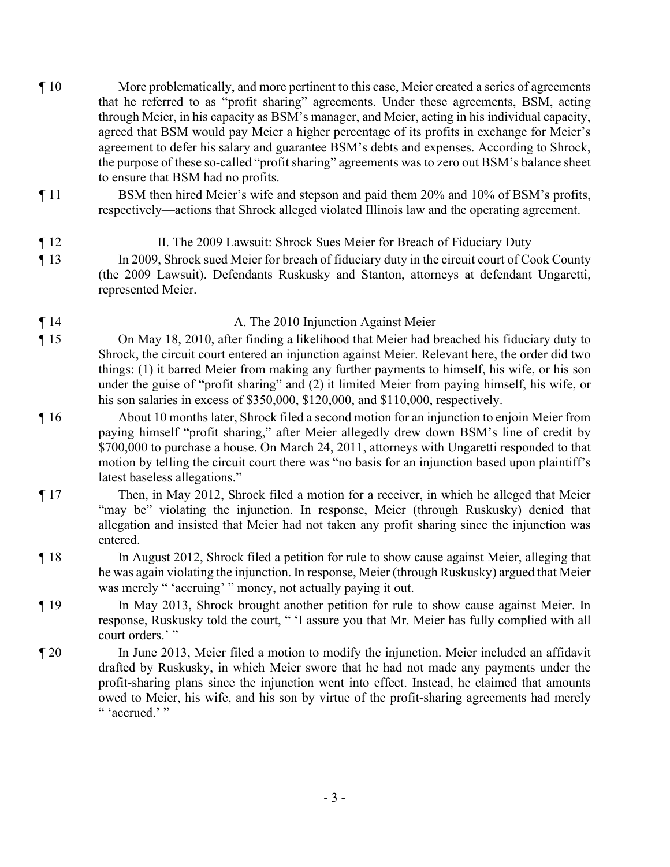- ¶ 10 More problematically, and more pertinent to this case, Meier created a series of agreements that he referred to as "profit sharing" agreements. Under these agreements, BSM, acting through Meier, in his capacity as BSM's manager, and Meier, acting in his individual capacity, agreed that BSM would pay Meier a higher percentage of its profits in exchange for Meier's agreement to defer his salary and guarantee BSM's debts and expenses. According to Shrock, the purpose of these so-called "profit sharing" agreements was to zero out BSM's balance sheet to ensure that BSM had no profits.
- ¶ 11 BSM then hired Meier's wife and stepson and paid them 20% and 10% of BSM's profits, respectively—actions that Shrock alleged violated Illinois law and the operating agreement.
- ¶ 12 II. The 2009 Lawsuit: Shrock Sues Meier for Breach of Fiduciary Duty ¶ 13 In 2009, Shrock sued Meier for breach of fiduciary duty in the circuit court of Cook County (the 2009 Lawsuit). Defendants Ruskusky and Stanton, attorneys at defendant Ungaretti, represented Meier.
- ¶ 14 A. The 2010 Injunction Against Meier
- ¶ 15 On May 18, 2010, after finding a likelihood that Meier had breached his fiduciary duty to Shrock, the circuit court entered an injunction against Meier. Relevant here, the order did two things: (1) it barred Meier from making any further payments to himself, his wife, or his son under the guise of "profit sharing" and (2) it limited Meier from paying himself, his wife, or his son salaries in excess of \$350,000, \$120,000, and \$110,000, respectively.
- ¶ 16 About 10 months later, Shrock filed a second motion for an injunction to enjoin Meier from paying himself "profit sharing," after Meier allegedly drew down BSM's line of credit by \$700,000 to purchase a house. On March 24, 2011, attorneys with Ungaretti responded to that motion by telling the circuit court there was "no basis for an injunction based upon plaintiff's latest baseless allegations."
- ¶ 17 Then, in May 2012, Shrock filed a motion for a receiver, in which he alleged that Meier "may be" violating the injunction. In response, Meier (through Ruskusky) denied that allegation and insisted that Meier had not taken any profit sharing since the injunction was entered.
- ¶ 18 In August 2012, Shrock filed a petition for rule to show cause against Meier, alleging that he was again violating the injunction. In response, Meier (through Ruskusky) argued that Meier was merely " 'accruing' " money, not actually paying it out.
- ¶ 19 In May 2013, Shrock brought another petition for rule to show cause against Meier. In response, Ruskusky told the court, " 'I assure you that Mr. Meier has fully complied with all court orders.'"
- ¶ 20 In June 2013, Meier filed a motion to modify the injunction. Meier included an affidavit drafted by Ruskusky, in which Meier swore that he had not made any payments under the profit-sharing plans since the injunction went into effect. Instead, he claimed that amounts owed to Meier, his wife, and his son by virtue of the profit-sharing agreements had merely " 'accrued.' "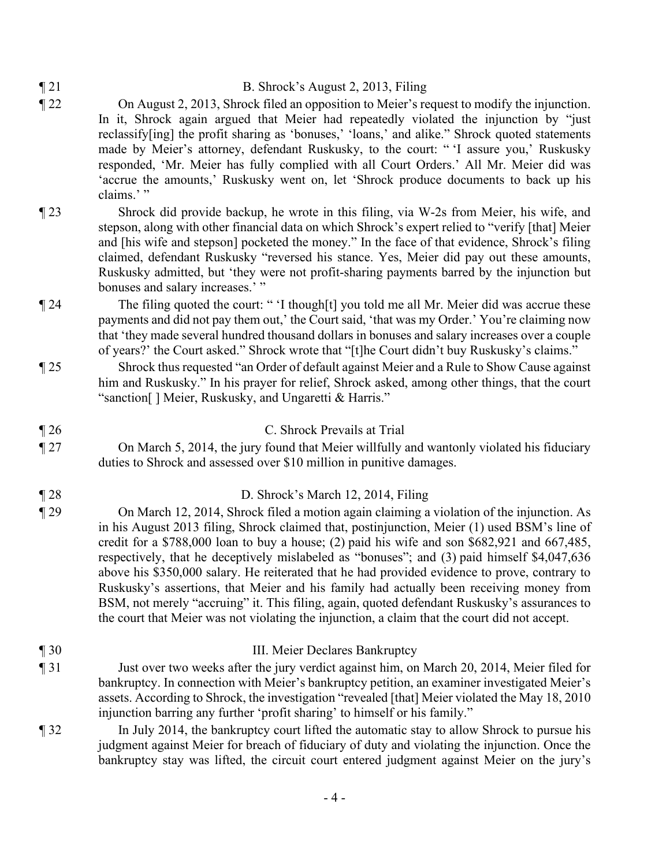## ¶ 21 B. Shrock's August 2, 2013, Filing

- ¶ 22 On August 2, 2013, Shrock filed an opposition to Meier's request to modify the injunction. In it, Shrock again argued that Meier had repeatedly violated the injunction by "just reclassify[ing] the profit sharing as 'bonuses,' 'loans,' and alike." Shrock quoted statements made by Meier's attorney, defendant Ruskusky, to the court: " 'I assure you,' Ruskusky responded, 'Mr. Meier has fully complied with all Court Orders.' All Mr. Meier did was 'accrue the amounts,' Ruskusky went on, let 'Shrock produce documents to back up his claims.'"
- ¶ 23 Shrock did provide backup, he wrote in this filing, via W-2s from Meier, his wife, and stepson, along with other financial data on which Shrock's expert relied to "verify [that] Meier and [his wife and stepson] pocketed the money." In the face of that evidence, Shrock's filing claimed, defendant Ruskusky "reversed his stance. Yes, Meier did pay out these amounts, Ruskusky admitted, but 'they were not profit-sharing payments barred by the injunction but bonuses and salary increases.'"
- ¶ 24 The filing quoted the court: " 'I though[t] you told me all Mr. Meier did was accrue these payments and did not pay them out,' the Court said, 'that was my Order.' You're claiming now that 'they made several hundred thousand dollars in bonuses and salary increases over a couple of years?' the Court asked." Shrock wrote that "[t]he Court didn't buy Ruskusky's claims."
- ¶ 25 Shrock thus requested "an Order of default against Meier and a Rule to Show Cause against him and Ruskusky." In his prayer for relief, Shrock asked, among other things, that the court "sanction[ ] Meier, Ruskusky, and Ungaretti & Harris."
- ¶ 26 C. Shrock Prevails at Trial ¶ 27 On March 5, 2014, the jury found that Meier willfully and wantonly violated his fiduciary
- duties to Shrock and assessed over \$10 million in punitive damages.
- ¶ 28 D. Shrock's March 12, 2014, Filing
- ¶ 29 On March 12, 2014, Shrock filed a motion again claiming a violation of the injunction. As in his August 2013 filing, Shrock claimed that, postinjunction, Meier (1) used BSM's line of credit for a \$788,000 loan to buy a house; (2) paid his wife and son \$682,921 and 667,485, respectively, that he deceptively mislabeled as "bonuses"; and (3) paid himself \$4,047,636 above his \$350,000 salary. He reiterated that he had provided evidence to prove, contrary to Ruskusky's assertions, that Meier and his family had actually been receiving money from BSM, not merely "accruing" it. This filing, again, quoted defendant Ruskusky's assurances to the court that Meier was not violating the injunction, a claim that the court did not accept.
- ¶ 30 III. Meier Declares Bankruptcy ¶ 31 Just over two weeks after the jury verdict against him, on March 20, 2014, Meier filed for bankruptcy. In connection with Meier's bankruptcy petition, an examiner investigated Meier's assets. According to Shrock, the investigation "revealed [that] Meier violated the May 18, 2010 injunction barring any further 'profit sharing' to himself or his family."
- ¶ 32 In July 2014, the bankruptcy court lifted the automatic stay to allow Shrock to pursue his judgment against Meier for breach of fiduciary of duty and violating the injunction. Once the bankruptcy stay was lifted, the circuit court entered judgment against Meier on the jury's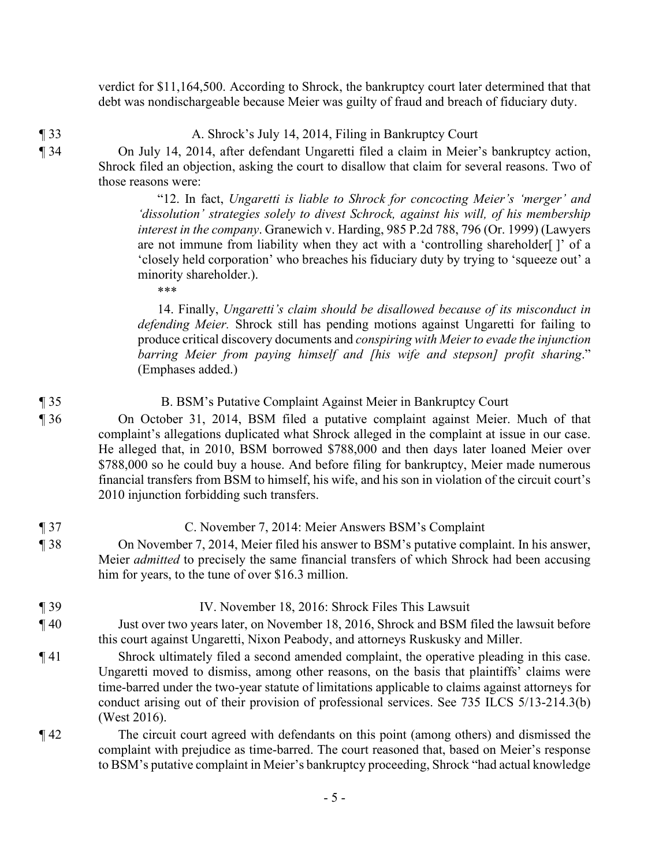verdict for \$11,164,500. According to Shrock, the bankruptcy court later determined that that debt was nondischargeable because Meier was guilty of fraud and breach of fiduciary duty.

¶ 33 A. Shrock's July 14, 2014, Filing in Bankruptcy Court

¶ 34 On July 14, 2014, after defendant Ungaretti filed a claim in Meier's bankruptcy action, Shrock filed an objection, asking the court to disallow that claim for several reasons. Two of those reasons were:

> "12. In fact, *Ungaretti is liable to Shrock for concocting Meier's 'merger' and 'dissolution' strategies solely to divest Schrock, against his will, of his membership interest in the company*. Granewich v. Harding, 985 P.2d 788, 796 (Or. 1999) (Lawyers are not immune from liability when they act with a 'controlling shareholder[ ]' of a 'closely held corporation' who breaches his fiduciary duty by trying to 'squeeze out' a minority shareholder.).

\*\*\*

14. Finally, *Ungaretti's claim should be disallowed because of its misconduct in defending Meier.* Shrock still has pending motions against Ungaretti for failing to produce critical discovery documents and *conspiring with Meier to evade the injunction barring Meier from paying himself and [his wife and stepson] profit sharing*." (Emphases added.)

¶ 35 B. BSM's Putative Complaint Against Meier in Bankruptcy Court ¶ 36 On October 31, 2014, BSM filed a putative complaint against Meier. Much of that complaint's allegations duplicated what Shrock alleged in the complaint at issue in our case. He alleged that, in 2010, BSM borrowed \$788,000 and then days later loaned Meier over \$788,000 so he could buy a house. And before filing for bankruptcy, Meier made numerous financial transfers from BSM to himself, his wife, and his son in violation of the circuit court's 2010 injunction forbidding such transfers.

- ¶ 37 C. November 7, 2014: Meier Answers BSM's Complaint ¶ 38 On November 7, 2014, Meier filed his answer to BSM's putative complaint. In his answer,
	- Meier *admitted* to precisely the same financial transfers of which Shrock had been accusing him for years, to the tune of over \$16.3 million.

## ¶ 39 IV. November 18, 2016: Shrock Files This Lawsuit

- ¶ 40 Just over two years later, on November 18, 2016, Shrock and BSM filed the lawsuit before this court against Ungaretti, Nixon Peabody, and attorneys Ruskusky and Miller.
- ¶ 41 Shrock ultimately filed a second amended complaint, the operative pleading in this case. Ungaretti moved to dismiss, among other reasons, on the basis that plaintiffs' claims were time-barred under the two-year statute of limitations applicable to claims against attorneys for conduct arising out of their provision of professional services. See 735 ILCS 5/13-214.3(b) (West 2016).
- ¶ 42 The circuit court agreed with defendants on this point (among others) and dismissed the complaint with prejudice as time-barred. The court reasoned that, based on Meier's response to BSM's putative complaint in Meier's bankruptcy proceeding, Shrock "had actual knowledge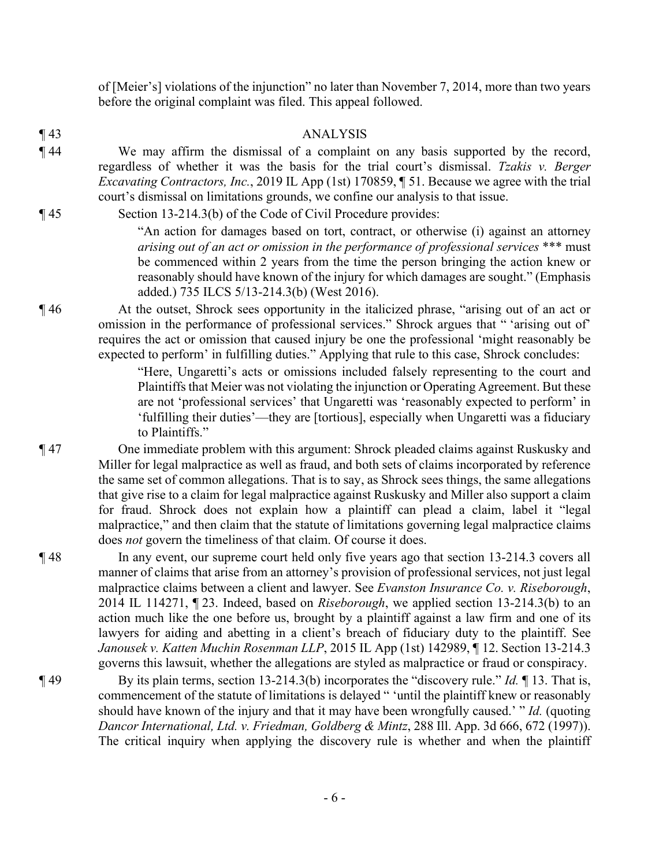of [Meier's] violations of the injunction" no later than November 7, 2014, more than two years before the original complaint was filed. This appeal followed.

¶ 43 ANALYSIS ¶ 44 We may affirm the dismissal of a complaint on any basis supported by the record, regardless of whether it was the basis for the trial court's dismissal. *Tzakis v. Berger Excavating Contractors, Inc.*, 2019 IL App (1st) 170859, ¶ 51. Because we agree with the trial court's dismissal on limitations grounds, we confine our analysis to that issue.

¶ 45 Section 13-214.3(b) of the Code of Civil Procedure provides:

"An action for damages based on tort, contract, or otherwise (i) against an attorney *arising out of an act or omission in the performance of professional services* \*\*\* must be commenced within 2 years from the time the person bringing the action knew or reasonably should have known of the injury for which damages are sought." (Emphasis added.) 735 ILCS 5/13-214.3(b) (West 2016).

¶ 46 At the outset, Shrock sees opportunity in the italicized phrase, "arising out of an act or omission in the performance of professional services." Shrock argues that " 'arising out of' requires the act or omission that caused injury be one the professional 'might reasonably be expected to perform' in fulfilling duties." Applying that rule to this case, Shrock concludes:

> "Here, Ungaretti's acts or omissions included falsely representing to the court and Plaintiffs that Meier was not violating the injunction or Operating Agreement. But these are not 'professional services' that Ungaretti was 'reasonably expected to perform' in 'fulfilling their duties'—they are [tortious], especially when Ungaretti was a fiduciary to Plaintiffs."

- ¶ 47 One immediate problem with this argument: Shrock pleaded claims against Ruskusky and Miller for legal malpractice as well as fraud, and both sets of claims incorporated by reference the same set of common allegations. That is to say, as Shrock sees things, the same allegations that give rise to a claim for legal malpractice against Ruskusky and Miller also support a claim for fraud. Shrock does not explain how a plaintiff can plead a claim, label it "legal malpractice," and then claim that the statute of limitations governing legal malpractice claims does *not* govern the timeliness of that claim. Of course it does.
- ¶ 48 In any event, our supreme court held only five years ago that section 13-214.3 covers all manner of claims that arise from an attorney's provision of professional services, not just legal malpractice claims between a client and lawyer. See *Evanston Insurance Co. v. Riseborough*, 2014 IL 114271, ¶ 23. Indeed, based on *Riseborough*, we applied section 13-214.3(b) to an action much like the one before us, brought by a plaintiff against a law firm and one of its lawyers for aiding and abetting in a client's breach of fiduciary duty to the plaintiff. See *Janousek v. Katten Muchin Rosenman LLP*, 2015 IL App (1st) 142989, ¶ 12. Section 13-214.3 governs this lawsuit, whether the allegations are styled as malpractice or fraud or conspiracy.
- ¶ 49 By its plain terms, section 13-214.3(b) incorporates the "discovery rule." *Id.* ¶ 13. That is, commencement of the statute of limitations is delayed " 'until the plaintiff knew or reasonably should have known of the injury and that it may have been wrongfully caused.' " *Id.* (quoting *Dancor International, Ltd. v. Friedman, Goldberg & Mintz*, 288 Ill. App. 3d 666, 672 (1997)). The critical inquiry when applying the discovery rule is whether and when the plaintiff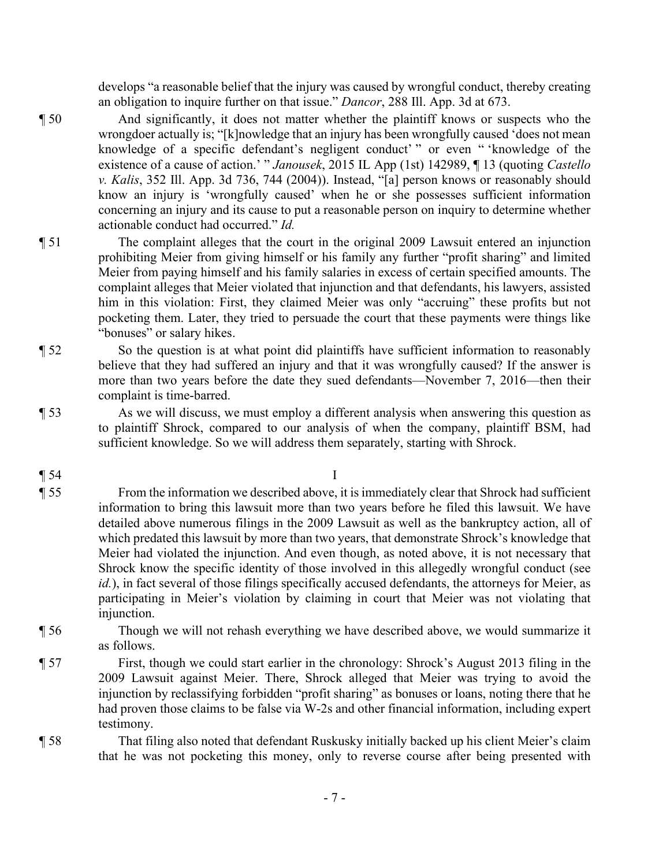develops "a reasonable belief that the injury was caused by wrongful conduct, thereby creating an obligation to inquire further on that issue." *Dancor*, 288 Ill. App. 3d at 673.

- ¶ 50 And significantly, it does not matter whether the plaintiff knows or suspects who the wrongdoer actually is; "[k]nowledge that an injury has been wrongfully caused 'does not mean knowledge of a specific defendant's negligent conduct' " or even " 'knowledge of the existence of a cause of action.' " *Janousek*, 2015 IL App (1st) 142989, ¶ 13 (quoting *Castello v. Kalis*, 352 Ill. App. 3d 736, 744 (2004)). Instead, "[a] person knows or reasonably should know an injury is 'wrongfully caused' when he or she possesses sufficient information concerning an injury and its cause to put a reasonable person on inquiry to determine whether actionable conduct had occurred." *Id.*
- ¶ 51 The complaint alleges that the court in the original 2009 Lawsuit entered an injunction prohibiting Meier from giving himself or his family any further "profit sharing" and limited Meier from paying himself and his family salaries in excess of certain specified amounts. The complaint alleges that Meier violated that injunction and that defendants, his lawyers, assisted him in this violation: First, they claimed Meier was only "accruing" these profits but not pocketing them. Later, they tried to persuade the court that these payments were things like "bonuses" or salary hikes.
- ¶ 52 So the question is at what point did plaintiffs have sufficient information to reasonably believe that they had suffered an injury and that it was wrongfully caused? If the answer is more than two years before the date they sued defendants—November 7, 2016—then their complaint is time-barred.
- 

¶ 53 As we will discuss, we must employ a different analysis when answering this question as to plaintiff Shrock, compared to our analysis of when the company, plaintiff BSM, had sufficient knowledge. So we will address them separately, starting with Shrock.

 $\blacksquare$  54 I

¶ 55 From the information we described above, it is immediately clear that Shrock had sufficient information to bring this lawsuit more than two years before he filed this lawsuit. We have detailed above numerous filings in the 2009 Lawsuit as well as the bankruptcy action, all of which predated this lawsuit by more than two years, that demonstrate Shrock's knowledge that Meier had violated the injunction. And even though, as noted above, it is not necessary that Shrock know the specific identity of those involved in this allegedly wrongful conduct (see *id.*), in fact several of those filings specifically accused defendants, the attorneys for Meier, as participating in Meier's violation by claiming in court that Meier was not violating that injunction.

- ¶ 56 Though we will not rehash everything we have described above, we would summarize it as follows.
- ¶ 57 First, though we could start earlier in the chronology: Shrock's August 2013 filing in the 2009 Lawsuit against Meier. There, Shrock alleged that Meier was trying to avoid the injunction by reclassifying forbidden "profit sharing" as bonuses or loans, noting there that he had proven those claims to be false via W-2s and other financial information, including expert testimony.

¶ 58 That filing also noted that defendant Ruskusky initially backed up his client Meier's claim that he was not pocketing this money, only to reverse course after being presented with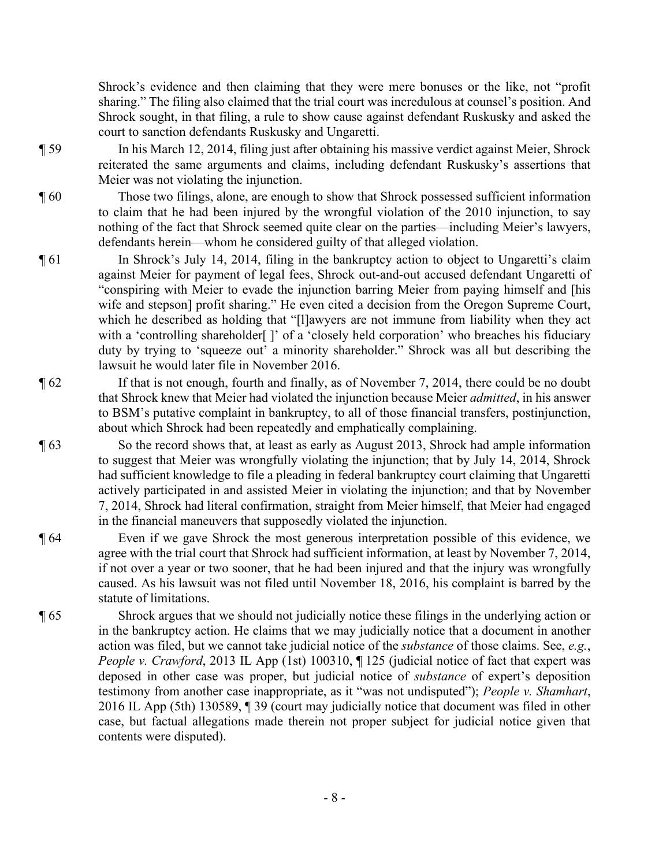Shrock's evidence and then claiming that they were mere bonuses or the like, not "profit sharing." The filing also claimed that the trial court was incredulous at counsel's position. And Shrock sought, in that filing, a rule to show cause against defendant Ruskusky and asked the court to sanction defendants Ruskusky and Ungaretti.

¶ 59 In his March 12, 2014, filing just after obtaining his massive verdict against Meier, Shrock reiterated the same arguments and claims, including defendant Ruskusky's assertions that Meier was not violating the injunction.

¶ 60 Those two filings, alone, are enough to show that Shrock possessed sufficient information to claim that he had been injured by the wrongful violation of the 2010 injunction, to say nothing of the fact that Shrock seemed quite clear on the parties—including Meier's lawyers, defendants herein—whom he considered guilty of that alleged violation.

- ¶ 61 In Shrock's July 14, 2014, filing in the bankruptcy action to object to Ungaretti's claim against Meier for payment of legal fees, Shrock out-and-out accused defendant Ungaretti of "conspiring with Meier to evade the injunction barring Meier from paying himself and [his wife and stepson] profit sharing." He even cited a decision from the Oregon Supreme Court, which he described as holding that "[l]awyers are not immune from liability when they act with a 'controlling shareholder[]' of a 'closely held corporation' who breaches his fiduciary duty by trying to 'squeeze out' a minority shareholder." Shrock was all but describing the lawsuit he would later file in November 2016.
- ¶ 62 If that is not enough, fourth and finally, as of November 7, 2014, there could be no doubt that Shrock knew that Meier had violated the injunction because Meier *admitted*, in his answer to BSM's putative complaint in bankruptcy, to all of those financial transfers, postinjunction, about which Shrock had been repeatedly and emphatically complaining.
- ¶ 63 So the record shows that, at least as early as August 2013, Shrock had ample information to suggest that Meier was wrongfully violating the injunction; that by July 14, 2014, Shrock had sufficient knowledge to file a pleading in federal bankruptcy court claiming that Ungaretti actively participated in and assisted Meier in violating the injunction; and that by November 7, 2014, Shrock had literal confirmation, straight from Meier himself, that Meier had engaged in the financial maneuvers that supposedly violated the injunction.
- ¶ 64 Even if we gave Shrock the most generous interpretation possible of this evidence, we agree with the trial court that Shrock had sufficient information, at least by November 7, 2014, if not over a year or two sooner, that he had been injured and that the injury was wrongfully caused. As his lawsuit was not filed until November 18, 2016, his complaint is barred by the statute of limitations.
- ¶ 65 Shrock argues that we should not judicially notice these filings in the underlying action or in the bankruptcy action. He claims that we may judicially notice that a document in another action was filed, but we cannot take judicial notice of the *substance* of those claims. See, *e.g.*, *People v. Crawford*, 2013 IL App (1st) 100310, ¶ 125 (judicial notice of fact that expert was deposed in other case was proper, but judicial notice of *substance* of expert's deposition testimony from another case inappropriate, as it "was not undisputed"); *People v. Shamhart*, 2016 IL App (5th) 130589, ¶ 39 (court may judicially notice that document was filed in other case, but factual allegations made therein not proper subject for judicial notice given that contents were disputed).
	- 8 -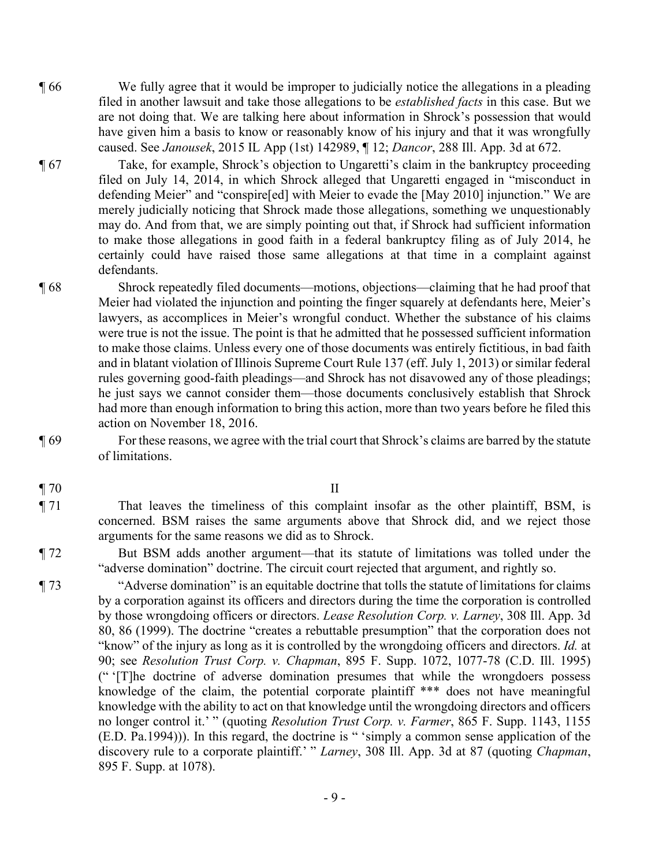- ¶ 66 We fully agree that it would be improper to judicially notice the allegations in a pleading filed in another lawsuit and take those allegations to be *established facts* in this case. But we are not doing that. We are talking here about information in Shrock's possession that would have given him a basis to know or reasonably know of his injury and that it was wrongfully caused. See *Janousek*, 2015 IL App (1st) 142989, ¶ 12; *Dancor*, 288 Ill. App. 3d at 672.
- ¶ 67 Take, for example, Shrock's objection to Ungaretti's claim in the bankruptcy proceeding filed on July 14, 2014, in which Shrock alleged that Ungaretti engaged in "misconduct in defending Meier" and "conspire[ed] with Meier to evade the [May 2010] injunction." We are merely judicially noticing that Shrock made those allegations, something we unquestionably may do. And from that, we are simply pointing out that, if Shrock had sufficient information to make those allegations in good faith in a federal bankruptcy filing as of July 2014, he certainly could have raised those same allegations at that time in a complaint against defendants.
- ¶ 68 Shrock repeatedly filed documents—motions, objections—claiming that he had proof that Meier had violated the injunction and pointing the finger squarely at defendants here, Meier's lawyers, as accomplices in Meier's wrongful conduct. Whether the substance of his claims were true is not the issue. The point is that he admitted that he possessed sufficient information to make those claims. Unless every one of those documents was entirely fictitious, in bad faith and in blatant violation of Illinois Supreme Court Rule 137 (eff. July 1, 2013) or similar federal rules governing good-faith pleadings—and Shrock has not disavowed any of those pleadings; he just says we cannot consider them—those documents conclusively establish that Shrock had more than enough information to bring this action, more than two years before he filed this action on November 18, 2016.
- ¶ 69 For these reasons, we agree with the trial court that Shrock's claims are barred by the statute of limitations.
- $\blacksquare$  70 II
- 

¶ 71 That leaves the timeliness of this complaint insofar as the other plaintiff, BSM, is concerned. BSM raises the same arguments above that Shrock did, and we reject those arguments for the same reasons we did as to Shrock.

¶ 72 But BSM adds another argument—that its statute of limitations was tolled under the "adverse domination" doctrine. The circuit court rejected that argument, and rightly so.

¶ 73 "Adverse domination" is an equitable doctrine that tolls the statute of limitations for claims by a corporation against its officers and directors during the time the corporation is controlled by those wrongdoing officers or directors. *Lease Resolution Corp. v. Larney*, 308 Ill. App. 3d 80, 86 (1999). The doctrine "creates a rebuttable presumption" that the corporation does not "know" of the injury as long as it is controlled by the wrongdoing officers and directors. *Id.* at 90; see *Resolution Trust Corp. v. Chapman*, 895 F. Supp. 1072, 1077-78 (C.D. Ill. 1995) (" '[T]he doctrine of adverse domination presumes that while the wrongdoers possess knowledge of the claim, the potential corporate plaintiff \*\*\* does not have meaningful knowledge with the ability to act on that knowledge until the wrongdoing directors and officers no longer control it.' " (quoting *Resolution Trust Corp. v. Farmer*, 865 F. Supp. 1143, 1155 (E.D. Pa.1994))). In this regard, the doctrine is " 'simply a common sense application of the discovery rule to a corporate plaintiff.' " *Larney*, 308 Ill. App. 3d at 87 (quoting *Chapman*, 895 F. Supp. at 1078).

- 9 -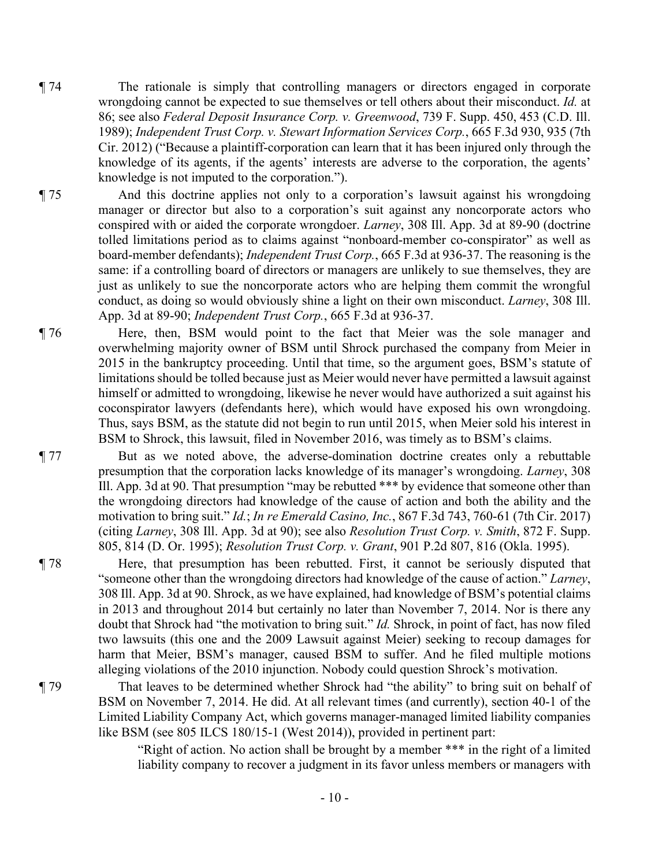- ¶ 74 The rationale is simply that controlling managers or directors engaged in corporate wrongdoing cannot be expected to sue themselves or tell others about their misconduct. *Id.* at 86; see also *Federal Deposit Insurance Corp. v. Greenwood*, 739 F. Supp. 450, 453 (C.D. Ill. 1989); *Independent Trust Corp. v. Stewart Information Services Corp.*, 665 F.3d 930, 935 (7th Cir. 2012) ("Because a plaintiff-corporation can learn that it has been injured only through the knowledge of its agents, if the agents' interests are adverse to the corporation, the agents' knowledge is not imputed to the corporation.").
- ¶ 75 And this doctrine applies not only to a corporation's lawsuit against his wrongdoing manager or director but also to a corporation's suit against any noncorporate actors who conspired with or aided the corporate wrongdoer. *Larney*, 308 Ill. App. 3d at 89-90 (doctrine tolled limitations period as to claims against "nonboard-member co-conspirator" as well as board-member defendants); *Independent Trust Corp.*, 665 F.3d at 936-37. The reasoning is the same: if a controlling board of directors or managers are unlikely to sue themselves, they are just as unlikely to sue the noncorporate actors who are helping them commit the wrongful conduct, as doing so would obviously shine a light on their own misconduct. *Larney*, 308 Ill. App. 3d at 89-90; *Independent Trust Corp.*, 665 F.3d at 936-37.
- ¶ 76 Here, then, BSM would point to the fact that Meier was the sole manager and overwhelming majority owner of BSM until Shrock purchased the company from Meier in 2015 in the bankruptcy proceeding. Until that time, so the argument goes, BSM's statute of limitations should be tolled because just as Meier would never have permitted a lawsuit against himself or admitted to wrongdoing, likewise he never would have authorized a suit against his coconspirator lawyers (defendants here), which would have exposed his own wrongdoing. Thus, says BSM, as the statute did not begin to run until 2015, when Meier sold his interest in BSM to Shrock, this lawsuit, filed in November 2016, was timely as to BSM's claims.

¶ 77 But as we noted above, the adverse-domination doctrine creates only a rebuttable presumption that the corporation lacks knowledge of its manager's wrongdoing. *Larney*, 308 Ill. App. 3d at 90. That presumption "may be rebutted \*\*\* by evidence that someone other than the wrongdoing directors had knowledge of the cause of action and both the ability and the motivation to bring suit." *Id.*; *In re Emerald Casino, Inc.*, 867 F.3d 743, 760-61 (7th Cir. 2017) (citing *Larney*, 308 Ill. App. 3d at 90); see also *Resolution Trust Corp. v. Smith*, 872 F. Supp. 805, 814 (D. Or. 1995); *Resolution Trust Corp. v. Grant*, 901 P.2d 807, 816 (Okla. 1995).

- ¶ 78 Here, that presumption has been rebutted. First, it cannot be seriously disputed that "someone other than the wrongdoing directors had knowledge of the cause of action." *Larney*, 308 Ill. App. 3d at 90. Shrock, as we have explained, had knowledge of BSM's potential claims in 2013 and throughout 2014 but certainly no later than November 7, 2014. Nor is there any doubt that Shrock had "the motivation to bring suit." *Id.* Shrock, in point of fact, has now filed two lawsuits (this one and the 2009 Lawsuit against Meier) seeking to recoup damages for harm that Meier, BSM's manager, caused BSM to suffer. And he filed multiple motions alleging violations of the 2010 injunction. Nobody could question Shrock's motivation.
- ¶ 79 That leaves to be determined whether Shrock had "the ability" to bring suit on behalf of BSM on November 7, 2014. He did. At all relevant times (and currently), section 40-1 of the Limited Liability Company Act, which governs manager-managed limited liability companies like BSM (see 805 ILCS 180/15-1 (West 2014)), provided in pertinent part:

"Right of action. No action shall be brought by a member \*\*\* in the right of a limited liability company to recover a judgment in its favor unless members or managers with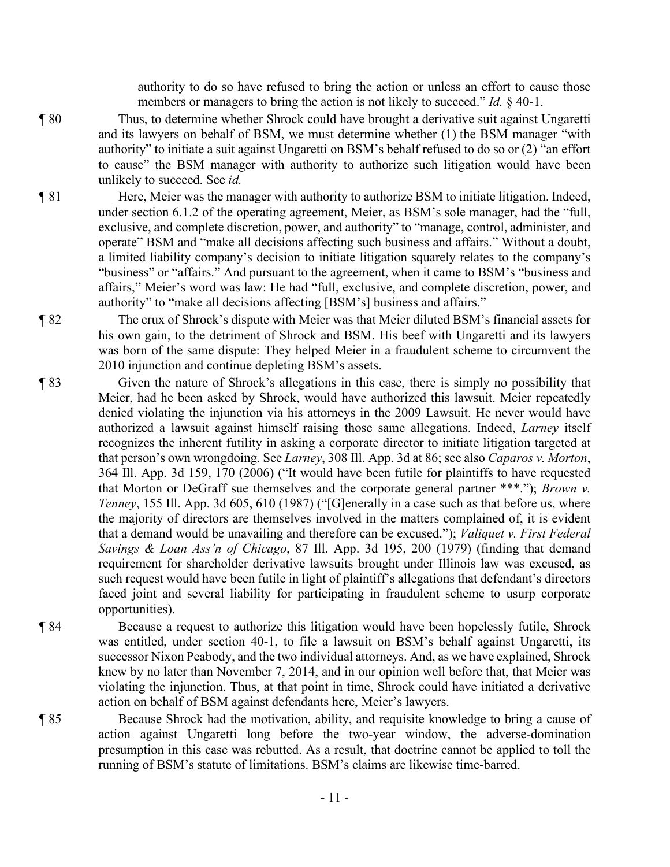authority to do so have refused to bring the action or unless an effort to cause those members or managers to bring the action is not likely to succeed." *Id.* § 40-1.

- ¶ 80 Thus, to determine whether Shrock could have brought a derivative suit against Ungaretti and its lawyers on behalf of BSM, we must determine whether (1) the BSM manager "with authority" to initiate a suit against Ungaretti on BSM's behalf refused to do so or (2) "an effort to cause" the BSM manager with authority to authorize such litigation would have been unlikely to succeed. See *id.*
- ¶ 81 Here, Meier was the manager with authority to authorize BSM to initiate litigation. Indeed, under section 6.1.2 of the operating agreement, Meier, as BSM's sole manager, had the "full, exclusive, and complete discretion, power, and authority" to "manage, control, administer, and operate" BSM and "make all decisions affecting such business and affairs." Without a doubt, a limited liability company's decision to initiate litigation squarely relates to the company's "business" or "affairs." And pursuant to the agreement, when it came to BSM's "business and affairs," Meier's word was law: He had "full, exclusive, and complete discretion, power, and authority" to "make all decisions affecting [BSM's] business and affairs."
- ¶ 82 The crux of Shrock's dispute with Meier was that Meier diluted BSM's financial assets for his own gain, to the detriment of Shrock and BSM. His beef with Ungaretti and its lawyers was born of the same dispute: They helped Meier in a fraudulent scheme to circumvent the 2010 injunction and continue depleting BSM's assets.
- ¶ 83 Given the nature of Shrock's allegations in this case, there is simply no possibility that Meier, had he been asked by Shrock, would have authorized this lawsuit. Meier repeatedly denied violating the injunction via his attorneys in the 2009 Lawsuit. He never would have authorized a lawsuit against himself raising those same allegations. Indeed, *Larney* itself recognizes the inherent futility in asking a corporate director to initiate litigation targeted at that person's own wrongdoing. See *Larney*, 308 Ill. App. 3d at 86; see also *Caparos v. Morton*, 364 Ill. App. 3d 159, 170 (2006) ("It would have been futile for plaintiffs to have requested that Morton or DeGraff sue themselves and the corporate general partner \*\*\*."); *Brown v. Tenney*, 155 Ill. App. 3d 605, 610 (1987) ("[G]enerally in a case such as that before us, where the majority of directors are themselves involved in the matters complained of, it is evident that a demand would be unavailing and therefore can be excused."); *Valiquet v. First Federal Savings & Loan Ass'n of Chicago*, 87 Ill. App. 3d 195, 200 (1979) (finding that demand requirement for shareholder derivative lawsuits brought under Illinois law was excused, as such request would have been futile in light of plaintiff's allegations that defendant's directors faced joint and several liability for participating in fraudulent scheme to usurp corporate opportunities).
- ¶ 84 Because a request to authorize this litigation would have been hopelessly futile, Shrock was entitled, under section 40-1, to file a lawsuit on BSM's behalf against Ungaretti, its successor Nixon Peabody, and the two individual attorneys. And, as we have explained, Shrock knew by no later than November 7, 2014, and in our opinion well before that, that Meier was violating the injunction. Thus, at that point in time, Shrock could have initiated a derivative action on behalf of BSM against defendants here, Meier's lawyers.
- ¶ 85 Because Shrock had the motivation, ability, and requisite knowledge to bring a cause of action against Ungaretti long before the two-year window, the adverse-domination presumption in this case was rebutted. As a result, that doctrine cannot be applied to toll the running of BSM's statute of limitations. BSM's claims are likewise time-barred.

- 11 -